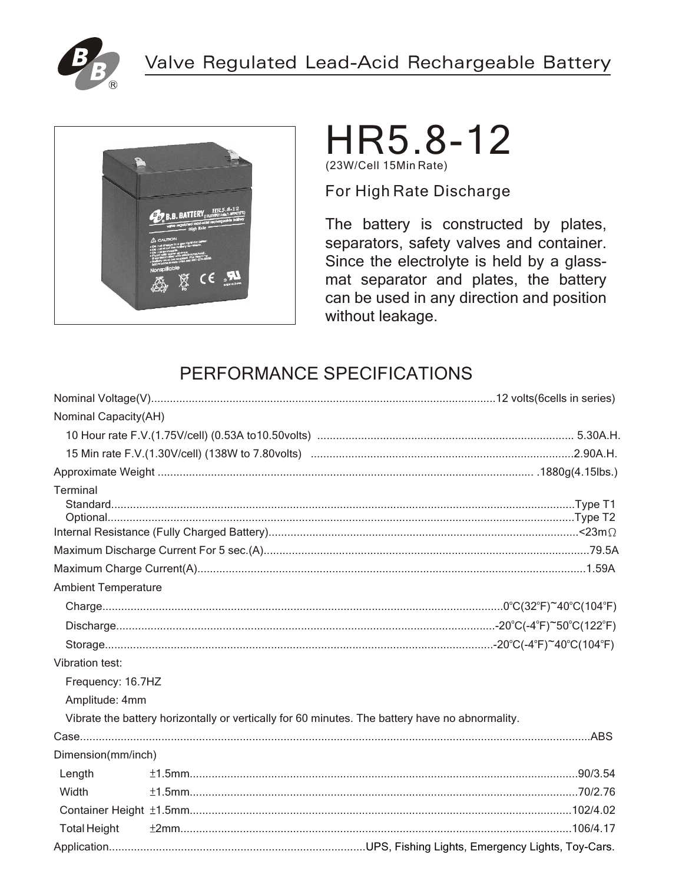



# HR5.8-12 (23W/Cell 15Min Rate)

For High Rate Discharge

The battery is constructed by plates, separators, safety valves and container. Since the electrolyte is held by a glassmat separator and plates, the battery can be used in any direction and position without leakage.

## PERFORMANCE SPECIFICATIONS

| Nominal Capacity(AH)       |  |                                                                                                 |
|----------------------------|--|-------------------------------------------------------------------------------------------------|
|                            |  |                                                                                                 |
|                            |  |                                                                                                 |
|                            |  |                                                                                                 |
| Terminal                   |  |                                                                                                 |
|                            |  |                                                                                                 |
|                            |  |                                                                                                 |
| <b>Ambient Temperature</b> |  |                                                                                                 |
|                            |  |                                                                                                 |
|                            |  |                                                                                                 |
|                            |  |                                                                                                 |
| Vibration test:            |  |                                                                                                 |
| Frequency: 16.7HZ          |  |                                                                                                 |
| Amplitude: 4mm             |  |                                                                                                 |
|                            |  | Vibrate the battery horizontally or vertically for 60 minutes. The battery have no abnormality. |
|                            |  |                                                                                                 |
| Dimension(mm/inch)         |  |                                                                                                 |
| Length                     |  |                                                                                                 |
| Width                      |  |                                                                                                 |
|                            |  |                                                                                                 |
| <b>Total Height</b>        |  |                                                                                                 |
|                            |  |                                                                                                 |